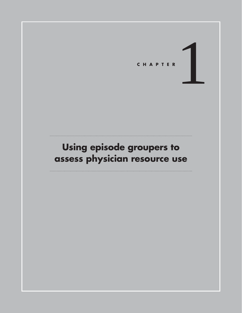

# **Using episode groupers to assess physician resource use**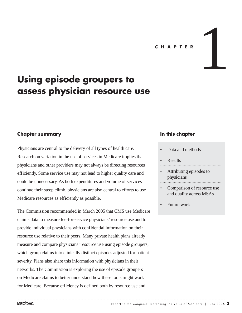## **C H A P T E R**



# **Using episode groupers to assess physician resource use**

# **Chapter summary**

Physicians are central to the delivery of all types of health care. Research on variation in the use of services in Medicare implies that physicians and other providers may not always be directing resources efficiently. Some service use may not lead to higher quality care and could be unnecessary. As both expenditures and volume of services continue their steep climb, physicians are also central to efforts to use Medicare resources as efficiently as possible.

The Commission recommended in March 2005 that CMS use Medicare claims data to measure fee-for-service physicians' resource use and to provide individual physicians with confidential information on their resource use relative to their peers. Many private health plans already measure and compare physicians' resource use using episode groupers, which group claims into clinically distinct episodes adjusted for patient severity. Plans also share this information with physicians in their networks. The Commission is exploring the use of episode groupers on Medicare claims to better understand how these tools might work for Medicare. Because efficiency is defined both by resource use and

# **In this chapter**

- Data and methods
- Results
- Attributing episodes to physicians
- Comparison of resource use and quality across MSAs
- Future work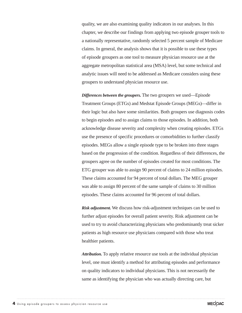quality, we are also examining quality indicators in our analyses. In this chapter, we describe our findings from applying two episode grouper tools to a nationally representative, randomly selected 5 percent sample of Medicare claims. In general, the analysis shows that it is possible to use these types of episode groupers as one tool to measure physician resource use at the aggregate metropolitan statistical area (MSA) level, but some technical and analytic issues will need to be addressed as Medicare considers using these groupers to understand physician resource use.

*Differences between the groupers.* The two groupers we used—Episode Treatment Groups (ETGs) and Medstat Episode Groups (MEGs)—differ in their logic but also have some similarities. Both groupers use diagnosis codes to begin episodes and to assign claims to those episodes. In addition, both acknowledge disease severity and complexity when creating episodes. ETGs use the presence of specific procedures or comorbidities to further classify episodes. MEGs allow a single episode type to be broken into three stages based on the progression of the condition. Regardless of their differences, the groupers agree on the number of episodes created for most conditions. The ETG grouper was able to assign 90 percent of claims to 24 million episodes. These claims accounted for 94 percent of total dollars. The MEG grouper was able to assign 80 percent of the same sample of claims to 30 million episodes. These claims accounted for 96 percent of total dollars.

*Risk adjustment.* We discuss how risk-adjustment techniques can be used to further adjust episodes for overall patient severity. Risk adjustment can be used to try to avoid characterizing physicians who predominantly treat sicker patients as high resource use physicians compared with those who treat healthier patients.

*Attribution.* To apply relative resource use tools at the individual physician level, one must identify a method for attributing episodes and performance on quality indicators to individual physicians. This is not necessarily the same as identifying the physician who was actually directing care, but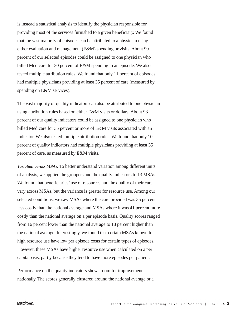is instead a statistical analysis to identify the physician responsible for providing most of the services furnished to a given beneficiary. We found that the vast majority of episodes can be attributed to a physician using either evaluation and management (E&M) spending or visits. About 90 percent of our selected episodes could be assigned to one physician who billed Medicare for 30 percent of E&M spending in an episode. We also tested multiple attribution rules. We found that only 11 percent of episodes had multiple physicians providing at least 35 percent of care (measured by spending on E&M services).

The vast majority of quality indicators can also be attributed to one physician using attribution rules based on either E&M visits or dollars. About 93 percent of our quality indicators could be assigned to one physician who billed Medicare for 35 percent or more of E&M visits associated with an indicator. We also tested multiple attribution rules. We found that only 10 percent of quality indicators had multiple physicians providing at least 35 percent of care, as measured by E&M visits.

*Variation across MSAs.* To better understand variation among different units of analysis, we applied the groupers and the quality indicators to 13 MSAs. We found that beneficiaries' use of resources and the quality of their care vary across MSAs, but the variance is greater for resource use. Among our selected conditions, we saw MSAs where the care provided was 35 percent less costly than the national average and MSAs where it was 41 percent more costly than the national average on a per episode basis. Quality scores ranged from 16 percent lower than the national average to 18 percent higher than the national average. Interestingly, we found that certain MSAs known for high resource use have low per episode costs for certain types of episodes. However, these MSAs have higher resource use when calculated on a per capita basis, partly because they tend to have more episodes per patient.

Performance on the quality indicators shows room for improvement nationally. The scores generally clustered around the national average or a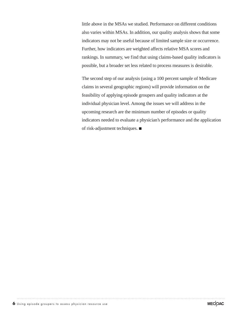little above in the MSAs we studied. Performance on different conditions also varies within MSAs. In addition, our quality analysis shows that some indicators may not be useful because of limited sample size or occurrence. Further, how indicators are weighted affects relative MSA scores and rankings. In summary, we find that using claims-based quality indicators is possible, but a broader set less related to process measures is desirable.

The second step of our analysis (using a 100 percent sample of Medicare claims in several geographic regions) will provide information on the feasibility of applying episode groupers and quality indicators at the individual physician level. Among the issues we will address in the upcoming research are the minimum number of episodes or quality indicators needed to evaluate a physician's performance and the application of risk-adjustment techniques.  $\blacksquare$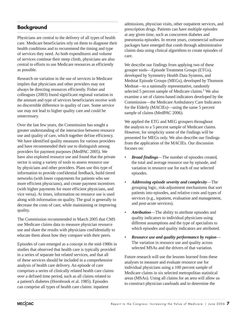# **Background**

Physicians are central to the delivery of all types of health care. Medicare beneficiaries rely on them to diagnose their health conditions and to recommend the timing and type of services they need. As both expenditures and volume of services continue their steep climb, physicians are also central to efforts to use Medicare resources as efficiently as possible.

Research on variation in the use of services in Medicare implies that physicians and other providers may not always be directing resources efficiently. Fisher and colleagues (2003) found significant regional variation in the amount and type of services beneficiaries receive with no discernible difference in quality of care. Some service use may not lead to higher quality care and could be unnecessary.

Over the last few years, the Commission has sought a greater understanding of the interaction between resource use and quality of care, which together define efficiency. We have identified quality measures for various providers and have recommended their use to distinguish among providers for payment purposes (MedPAC 2005). We have also explored resource use and found that the private sector is using a variety of tools to assess resource use by physicians and other providers. Plans use this type of information to provide confidential feedback, build tiered networks (with lower copayments for patients who see more efficient physicians), and create payment incentives (with higher payments for more efficient physicians, and vice versa). At times, information on resource use is used along with information on quality. The goal is generally to decrease the costs of care, while maintaining or improving quality.

The Commission recommended in March 2005 that CMS use Medicare claims data to measure physician resource use and share the results with physicians confidentially to educate them about how they compare with their peers.

Episodes of care emerged as a concept in the mid-1980s in studies that observed that health care is typically provided in a series of separate but related services, and that all of these services should be included in a comprehensive analysis of health care delivery. An episode of care comprises a series of clinically related health care claims over a defined time period, such as all claims related to a patient's diabetes (Hornbrook et al. 1985). Episodes can comprise all types of health care claims: inpatient

admissions, physician visits, other outpatient services, and prescription drugs. Patients can have multiple episodes at any given time, such as concurrent diabetes and pneumonia episodes. In recent years, commercial software packages have emerged that comb through administrative claims data using clinical algorithms to create episodes of care.

We describe our findings from applying two of these grouper tools—Episode Treatment Groups (ETGs), developed by Symmetry Health Data Systems, and Medstat Episode Groups (MEGs), developed by Thomson Medstat—to a nationally representative, randomly selected 5 percent sample of Medicare claims.<sup>1</sup> We also examine a set of claims-based indicators developed by the Commission—the Medicare Ambulatory Care Indicators for the Elderly (MACIEs)—using the same 5 percent sample of claims (MedPAC 2006).

We applied the ETG and MEG groupers throughout the analysis to a 5 percent sample of Medicare claims. However, for simplicity some of the findings will be presented for MEGs only. We also describe our findings from the application of the MACIEs. Our discussion focuses on:

- *Broad findings*—The number of episodes created, the total and average resource use by episode, and variation in resource use for each of our selected episodes.
- *Addressing episode severity and complexity*—The grouping logic, risk-adjustment mechanisms that sort patients into episodes, and relative costs and types of services (e.g., inpatient, evaluation and management, and post-acute services).
- *Attribution*—The ability to attribute episodes and quality indicators to individual physicians using different assumptions and the type of specialists to which episodes and quality indicators are attributed.
- *Resource use and quality performance by region* The variation in resource use and quality across selected MSAs and the drivers of that variation.

Future research will use the lessons learned from these analyses to measure and evaluate resource use for individual physicians using a 100 percent sample of Medicare claims in six selected metropolitan statistical areas (MSAs). Using all claims for an area will allow us to construct physician caseloads and to determine the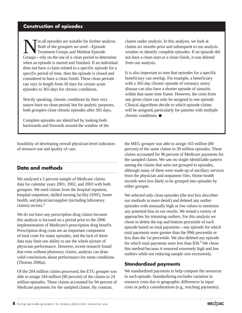# **Construction of episodes**

ot all episodes are suitable for further analysis. Both of the groupers we used—Episode Treatment Groups and Medstat Episode Groups—rely on the use of a clean period to determine when an episode is started and finished. If an individual does not have a claim related to a specific episode for a specific period of time, then the episode is closed and considered to have a clean finish. These clean periods can vary in length from 30 days for certain acute episodes to 365 days for chronic conditions.

Strictly speaking, chronic conditions by their very nature have no clean period, but for analytic purposes, both groupers close chronic episodes after 365 days.

Complete episodes are identified by looking both backwards and forwards around the window of the

feasibility of developing overall physician-level indicators of resource use and quality of care.

# **Data and methods**

We analyzed a 5 percent sample of Medicare claims data for calendar years 2001, 2002, and 2003 with both groupers. We used claims from the hospital inpatient, hospital outpatient, skilled nursing facility (SNF), home health, and physician/supplier (including laboratory claims) sectors.2

We do not have any prescription drug claims because this analysis is focused on a period prior to the 2006 implementation of Medicare's prescription drug benefit. Prescription drug costs are an important component of total costs for many episodes, and the lack of these data may limit our ability to see the whole picture of physician performance. However, recent research found that even without pharmacy claims, analysis can draw valid conclusions about performance for some conditions (Thomas 2006a).

Of the 204 million claims processed, the ETG grouper was able to assign 184 million (90 percent) of the claims to 24 million episodes. These claims accounted for 94 percent of Medicare payments for the sampled claims. By contrast,

claims under analysis. In this analysis, we look at claims six months prior and subsequent to our analysis window to identify complete episodes. If an episode did not have a clean start or a clean finish, it was deleted from our analysis.

It is also important to note that episodes for a specific beneficiary can overlap. For example, a beneficiary with a 365-day chronic episode of coronary artery disease can also have a shorter episode of sinusitis within that same time frame. However, the costs from any given claim can only be assigned to one episode. Clinical algorithms decide to which episode claims will be assigned, particularly for patients with multiple chronic conditions.  $\blacksquare$ 

the MEG grouper was able to assign 163 million (80 percent) of the same claims to 30 million episodes. These claims accounted for 96 percent of Medicare payments for the sampled claims. We saw no single identifiable pattern among the claims that were not grouped to episodes, although many of them were made up of ancillary services from the physician and outpatient files. Home health records were less likely to be grouped into episodes by either grouper.

We selected only clean episodes (the text box describes our methods in more detail) and deleted any outlier episodes with unusually high or low values to minimize any potential bias in our results. We tested a variety of approaches for trimming outliers. For this analysis we chose to delete the top and bottom percentile of each episode based on total payments—any episode for which total payments were greater than the 99th percentile or less than the 1st percentile. We also deleted any episode for which total payments were less than  $$30.<sup>3</sup>$  We chose this method because it removed extremely high and low outliers while not reducing sample size excessively.

# **Standardized payments**

We standardized payments to help compare the resources in each episode. Standardizing excludes variation in resource costs due to geographic differences in input costs or policy considerations (e.g., teaching payments).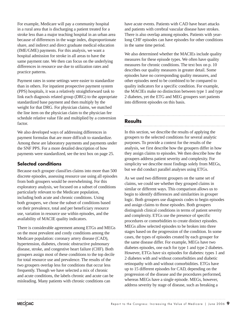For example, Medicare will pay a community hospital in a rural area that is discharging a patient treated for a stroke less than a major teaching hospital in an urban area because of differences in the wage index, disproportionate share, and indirect and direct graduate medical education (IME/GME) payments. For this analysis, we want a hospital admission for stroke in all areas to have the same payment rate. We then can focus on the underlying differences in resource use due to utilization rates and practice patterns.

Payment rates in some settings were easier to standardize than in others. For inpatient prospective payment system (PPS) hospitals, it was a relatively straightforward task to link each diagnosis related group (DRG) to the appropriate standardized base payment and then multiply by the weight for that DRG. For physician claims, we matched the line item on the physician claim to the physician fee schedule relative value file and multiplied by a conversion factor.

We also developed ways of addressing differences in payment formulas that are more difficult to standardize. Among these are laboratory payments and payments under the SNF PPS. For a more detailed description of how payments were standardized, see the text box on page 25.

# **Selected conditions**

Because each grouper classifies claims into more than 500 discrete episodes, assessing resource use using all episodes from both groupers would be overwhelming. For this exploratory analysis, we focused on a subset of conditions particularly relevant to the Medicare population, including both acute and chronic conditions. Using both groupers, we chose the subset of conditions based on their prevalence, total and per beneficiary resource use, variation in resource use within episodes, and the availability of MACIE quality indicators.

There is considerable agreement among ETGs and MEGs on the most prevalent and costly conditions among the Medicare population: coronary artery disease (CAD), hypertension, diabetes, chronic obstructive pulmonary disease, stroke, and congestive heart failure (CHF). Both groupers assign most of these conditions to the top decile for total resource use and prevalence. The results of the two groupers overlap less for conditions that occur less frequently. Though we have selected a mix of chronic and acute conditions, the labels chronic and acute can be misleading. Many patients with chronic conditions can

have acute events. Patients with CAD have heart attacks and patients with cerebral vascular disease have strokes. There is also overlap among episodes. Patients with yearlong CHF episodes can have episodes for other conditions in the same time period.

We also determined whether the MACIEs include quality measures for these episode types. We often have quality measures for chronic conditions. The text box on p. 10 describes our quality measures in greater detail. Some episodes have no corresponding quality measures, and other episodes need to be combined to be compared to quality indicators for a specific condition. For example, the MACIEs make no distinction between type 1 and type 2 diabetes, yet the ETG and MEG groupers sort patients into different episodes on this basis.

# **Results**

In this section, we describe the results of applying the groupers to the selected conditions for several analytic purposes. To provide a context for the results of the analysis, we first describe how the groupers differ in how they assign claims to episodes. We then describe how the groupers address patient severity and complexity. For simplicity we describe most findings solely from MEGs, but we did conduct parallel analyses using ETGs.

As we used two different groupers on the same set of claims, we could see whether they grouped claims in similar or different ways. This comparison allows us to begin to identify differences and similarities in grouper logic. Both groupers use diagnosis codes to begin episodes and assign claims to those episodes. Both groupers distinguish clinical conditions in terms of patient severity and complexity. ETGs use the presence of specific procedures or comorbidities to create distinct episodes. MEGs allow selected episodes to be broken into three stages based on the progression of the condition. In some cases, the types of episodes created by each grouper for the same disease differ. For example, MEGs have two diabetes episodes, one each for type 1 and type 2 diabetes. However, ETGs have six episodes for diabetes: types 1 and 2 diabetes with and without comorbidities and diabetic retinopathy with and without comorbidities. ETGs have up to 15 different episodes for CAD, depending on the progression of the disease and the procedures performed, whereas MEGs have a single episode. MEGs, however, address severity by stage of disease, such as breaking a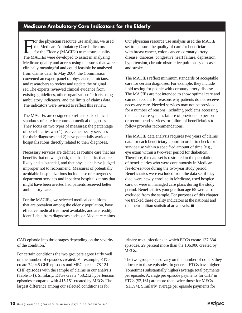For the physician resource use analysis, we used the Medicare Ambulatory Care Indicators for the Elderly (MACIEs) to measure quality. The MACIEs were developed to assist in analyzing Medicare quality and access using measures that were clinically meaningful and could feasibly be analyzed from claims data. In May 2004, the Commission convened an expert panel of physicians, clinicians, and researchers to review and update the original set. The experts reviewed clinical evidence from existing guidelines, other organizations' efforts using ambulatory indicators, and the limits of claims data. The indicators were revised to reflect this review.

The MACIEs are designed to reflect basic clinical standards of care for common medical diagnoses. They focus on two types of measures: the percentage of beneficiaries who 1) receive necessary services for their diagnoses and 2) have potentially avoidable hospitalizations directly related to their diagnoses.

Necessary services are defined as routine care that has benefits that outweigh risk, that has benefits that are likely and substantial, and that physicians have judged improper not to recommend. Measures of potentially avoidable hospitalizations include use of emergency department services and inpatient hospitalizations that might have been averted had patients received better ambulatory care.

For the MACIEs, we selected medical conditions that are prevalent among the elderly population, have effective medical treatment available, and are readily identifiable from diagnoses codes on Medicare claims. Our physician resource use analysis used the MACIE set to measure the quality of care for beneficiaries with breast cancer, colon cancer, coronary artery disease, diabetes, congestive heart failure, depression, hypertension, chronic obstructive pulmonary disease, and stroke.

The MACIEs reflect minimum standards of acceptable care for certain diagnoses. For example, they include lipid testing for people with coronary artery disease. The MACIEs are not intended to show optimal care and can not account for reasons why patients do not receive necessary care. Needed services may not be provided for a number of reasons, including problems accessing the health care system, failure of providers to perform or recommend services, or failure of beneficiaries to follow provider recommendations.

The MACIE data analysis requires two years of claims data for each beneficiary cohort in order to check for service use within a specified amount of time (e.g., eye exam within a two-year period for diabetics). Therefore, the data set is restricted to the population of beneficiaries who were continuously in Medicare fee-for-service during the two-year study period. Beneficiaries were excluded from the data set if they died, were newly enrolled in Medicare, used hospice care, or were in managed care plans during the study period. Beneficiaries younger than age 65 were also excluded from the sample. For purposes of this chapter, we tracked these quality indicators at the national and the metropolitan statistical area levels.  $\blacksquare$ 

CAD episode into three stages depending on the severity of the condition.4

For certain conditions the two groupers agree fairly well on the number of episodes created. For example, ETGs create 74,045 CHF episodes and MEGs create 78,124 CHF episodes with the sample of claims in our analysis (Table 1-1). Similarly, ETGs create 458,212 hypertension episodes compared with 415,151 created by MEGs. The largest difference among our selected conditions is for

urinary tract infections in which ETGs create 137,684 episodes, 29 percent more than the 106,900 created by MEGs.

The two groupers also vary on the number of dollars they allocate to these episodes. In general, ETGs have higher (sometimes substantially higher) average total payments per episode. Average per episode payments for CHF in ETGs (\$3,161) are more than twice those for MEGs (\$1,394). Similarly, average per episode payments for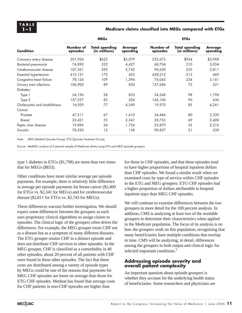## **1–1 Medicare claims classified into MEGs compared with ETGs**

|                                  |                       | <b>MEGs</b>                            |                            | <b>ETGs</b>           |                                        |                            |  |
|----------------------------------|-----------------------|----------------------------------------|----------------------------|-----------------------|----------------------------------------|----------------------------|--|
| Condition                        | Number of<br>episodes | <b>Total spending</b><br>(in millions) | <b>Average</b><br>spending | Number of<br>episodes | <b>Total spending</b><br>(in millions) | <b>Average</b><br>spending |  |
| Coronary artery disease          | 201,936               | \$622                                  | \$3,079                    | 233,673               | \$934                                  | \$3,998                    |  |
| Bacterial pneumonia              | 74,890                | 332                                    | 4,427                      | 68,704                | 210                                    | 3,054                      |  |
| Cerebrovascular disease          | 107,561               | 295                                    | 2,743                      | 90,630                | 255                                    | 2,811                      |  |
| Essential hypertension           | 415,151               | 175                                    | 423                        | 458,212               | 215                                    | 469                        |  |
| Congestive heart failure         | 78,124                | 109                                    | 1,394                      | 74,045                | 234                                    | 3,161                      |  |
| Urinary tract infections         | 106,900               | 89                                     | 830                        | 137,684               | 72                                     | 521                        |  |
| Diabetes:                        |                       |                                        |                            |                       |                                        |                            |  |
| Type 1                           | 34,196                | 28                                     | 833                        | 54,348                | 98                                     | 1,798                      |  |
| Type 2                           | 157,337               | 83                                     | 526                        | 142,106               | 90                                     | 636                        |  |
| Cholecystitis and cholelithiasis | 16,959                | 77                                     | 4,549                      | 19,970                | 85                                     | 4,261                      |  |
| Cancer:                          |                       |                                        |                            |                       |                                        |                            |  |
| Prostate                         | 47,211                | 67                                     | 1,410                      | 34,484                | 80                                     | 2,330                      |  |
| <b>Breast</b>                    | 23,421                | 55                                     | 2,341                      | 28,753                | 69                                     | 2,400                      |  |
| Peptic ulcer disease             | 19,896                | 34                                     | 1,724                      | 23,870                | 53                                     | 2,216                      |  |
| <b>Sinusitis</b>                 | 78,520                | 12                                     | 158                        | 90,827                | 21                                     | 230                        |  |

Note: MEG (Medstat Episode Group), ETG (Episode Treatment Group).

Source: MedPAC analysis of 5 percent sample of Medicare claims using ETG and MEG episode groupers.

type 1 diabetes in ETGs (\$1,798) are more than two times that for MEGs (\$833).

Other conditions have more similar average per episode payments. For example, there is relatively little difference in average per episode payments for breast cancer (\$2,400 for ETGs vs. \$2,341 for MEGs) and for cerebrovascular disease (\$2,811 for ETGs vs. \$2,743 for MEGs).

These differences warrant further investigation. We should expect some differences between the groupers as each uses proprietary clinical algorithms to assign claims to episodes. The clinical logic of the groupers often drives the differences. For example, the MEG grouper treats CHF not as a disease but as a symptom of many different diseases. The ETG grouper retains CHF in a distinct episode and does not distribute CHF services to other episodes. In the MEG grouper, CHF is classified as a comorbidity in 40 other episodes; about 20 percent of all patients with CHF were found in these other episodes. The fact that these costs are distributed among a variety of episode types by MEGs could be one of the reasons that payments for MEG CHF episodes are lower on average than those for ETG CHF episodes. Medstat has found that average costs for CHF patients in non-CHF episodes are higher than

for those in CHF episodes, and that these episodes tend to have higher proportions of hospital inpatient dollars than CHF episodes. We found a similar result when we examined costs by type of service within CHF episodes in the ETG and MEG groupers: ETG CHF episodes had a higher proportion of dollars attributable to hospital inpatient stays than MEG CHF episodes.

We will continue to examine differences between the two groupers in more detail for the 100 percent analysis. In addition, CMS is analyzing at least two of the available groupers to determine their characteristics when applied to the Medicare population. The focus of its analysis is on how the groupers work on this population, recognizing that many beneficiaries have multiple conditions that overlap in time. CMS will be analyzing, in detail, differences among the groupers in both output and clinical logic for selected important conditions.<sup>5</sup>

# **Addressing episode severity and overall patient complexity**

An important question about episode groupers is whether they account for the underlying health status of beneficiaries. Some researchers and physicians are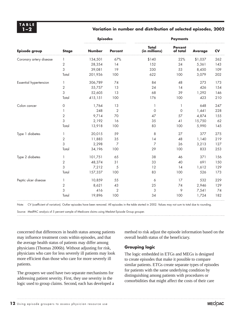## **1–2 Variation in number and distribution of selected episodes, 2002**

|                         |                | <b>Episodes</b> |                | <b>Payments</b>               |                            |                |           |  |  |
|-------------------------|----------------|-----------------|----------------|-------------------------------|----------------------------|----------------|-----------|--|--|
| Episode group           | <b>Stage</b>   | <b>Number</b>   | <b>Percent</b> | <b>Total</b><br>(in millions) | <b>Percent</b><br>of total | <b>Average</b> | <b>CV</b> |  |  |
| Coronary artery disease | $\mathbf{1}$   | 134,501         | 67%            | \$140                         | 22%                        | \$1,037        | 262       |  |  |
|                         | $\mathbf{2}$   | 28,354          | 14             | 152                           | 24                         | 5,361          | 143       |  |  |
|                         | 3              | 39,081          | 19             | 330                           | 53                         | 8,450          | 109       |  |  |
|                         | Total          | 201,936         | 100            | 622                           | 100                        | 3,079          | 202       |  |  |
| Essential hypertension  | 1              | 306,789         | 74             | 84                            | 48                         | 273            | 173       |  |  |
|                         | $\sqrt{2}$     | 55,757          | 13             | 24                            | 14                         | 426            | 154       |  |  |
|                         | 3              | 52,605          | 13             | 68                            | 39                         | 1,292          | 146       |  |  |
|                         | Total          | 415,151         | 100            | 176                           | 100                        | 423            | 210       |  |  |
| Colon cancer            | 0              | 1,764           | 13             | 1                             | 1                          | 648            | 247       |  |  |
|                         | 1              | 248             | $\overline{2}$ | $\circ$                       | 0                          | 1,441          | 228       |  |  |
|                         | $\overline{2}$ | 9,714           | 70             | 47                            | 57                         | 4,874          | 155       |  |  |
|                         | 3              | 2,192           | 16             | 35                            | 41                         | 15,750         | 62        |  |  |
|                         | Total          | 13,918          | 100            | 83                            | 100                        | 5,990          | 145       |  |  |
| Type 1 diabetes         | 1              | 20,015          | 59             | 8                             | 27                         | 377            | 275       |  |  |
|                         | 2              | 11,883          | 35             | 14                            | 48                         | 1,140          | 219       |  |  |
|                         | 3              | 2,298           | 7              | $\overline{7}$                | 26                         | 3,213          | 127       |  |  |
|                         | Total          | 34,196          | 100            | 29                            | 100                        | 833            | 253       |  |  |
| Type 2 diabetes         | 1              | 101,751         | 65             | 38                            | 46                         | 371            | 156       |  |  |
|                         | $\mathbf 2$    | 48,374          | 31             | 33                            | 40                         | 691            | 150       |  |  |
|                         | 3              | 7,212           | $\sqrt{5}$     | 12                            | 14                         | 1,612          | 129       |  |  |
|                         | Total          | 157,337         | 100            | 83                            | 100                        | 526            | 173       |  |  |
| Peptic ulcer disease    | 1              | 10,859          | 55             | 6                             | 17                         | 532            | 229       |  |  |
|                         | 2              | 8,621           | 43             | 25                            | 74                         | 2,946          | 129       |  |  |
|                         | 3              | 416             | $\mathbf{2}$   | 3                             | 9                          | 7,541          | 74        |  |  |
|                         | Total          | 19,896          | 100            | 34                            | 100                        | 1,724          | 182       |  |  |

Note: CV (coefficient of variation). Outlier episodes have been removed. All episodes in the table started in 2002. Values may not sum to total due to rounding.

Source: MedPAC analysis of 5 percent sample of Medicare claims using Medstat Episode Group grouper.

concerned that differences in health status among patients may influence treatment costs within episodes, and that the average health status of patients may differ among physicians (Thomas 2006b). Without adjusting for risk, physicians who care for less severely ill patients may look more efficient than those who care for more severely ill patients.

The groupers we used have two separate mechanisms for addressing patient severity. First, they use severity in the logic used to group claims. Second, each has developed a method to risk adjust the episode information based on the overall health status of the beneficiary.

## **Grouping logic**

The logic embedded in ETGs and MEGs is designed to create episodes that make it possible to compare similar patients. ETGs create separate types of episodes for patients with the same underlying condition by distinguishing among patients with procedures or comorbidities that might affect the costs of their care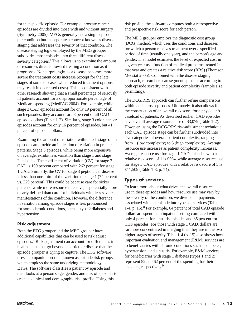for that specific episode. For example, prostate cancer episodes are divided into those with and without surgery (Symmetry 2005). MEGs generally use a single episode per condition but incorporate a concept known as disease staging that addresses the severity of that condition. The disease staging logic employed by the MEG grouper subdivides most episodes into three different disease severity categories.<sup>6</sup> This allows us to examine the amount of resources directed toward treating a condition as it progresses. Not surprisingly, as a disease becomes more severe the treatment costs increase (except for the late stages of some diseases when reduced treatment options may result in decreased costs). This is consistent with other research showing that a small percentage of seriously ill patients account for a disproportionate percentage of Medicare spending (MedPAC 2004). For example, while stage 3 CAD episodes account for only 19 percent of all such episodes, they account for 53 percent of all CAD episode dollars (Table 1-2). Similarly, stage 3 colon cancer episodes account for only 16 percent of episodes, but 41 percent of episode dollars.

Examining the amount of variation within each stage of an episode can provide an indication of variation in practice patterns. Stage 3 episodes, while being more expensive on average, exhibit less variation than stage 1 and stage 2 episodes. The coefficient of variation (CV) for stage 3 CAD is 109 percent compared with 262 percent for stage 1 CAD. Similarly, the CV for stage 3 peptic ulcer disease is less than one-third of the variation of stage 1 (74 percent vs. 229 percent). This could be because care for sicker patients, while more resource intensive, is potentially more clearly defined than care for individuals with less severe manifestations of the condition. However, the difference in variation among episode stages is less pronounced for some chronic conditions, such as type 2 diabetes and hypertension.

# **Risk adjustment**

Both the ETG grouper and the MEG grouper have additional capabilities that can be used to risk adjust episodes.7 Risk adjustment can account for differences in health status that go beyond a particular disease that the episode grouper is trying to capture. The ETG software uses a companion product known as episode risk groups, which employs the same underlying methodology as ETGs. The software classifies a patient by episode and then looks at a person's age, gender, and mix of episodes to create a clinical and demographic risk profile. Using this

risk profile, the software computes both a retrospective and prospective risk score for each person.

The MEG grouper employs the diagnostic cost group (DCG) method, which uses the conditions and diseases for which a person receives treatment over a specified period of time (usually one year), and the person's age and gender. The model estimates the level of expected cost in a given year as a function of medical problems treated in that year and creates a relative risk score (RRS) (Thomson Medstat 2005). Combined with the disease staging approach, researchers can segment episodes according to both episode severity and patient complexity (sample size permitting).

The DCG/RRS approach can further refine comparisons within and across episodes. Ultimately, it also allows for the construction of an overall risk score for a physician's caseload of patients. As described earlier, CAD episodes have overall average resource use of \$3,079 (Table 1-2). However, using the DCG/RRS risk-adjustment technique, each CAD episode stage can be further subdivided into five categories of overall patient complexity, ranging from 1 (low complexity) to 5 (high complexity). Average resource use increases as patient complexity increases. Average resource use for stage 1 CAD episodes with a relative risk score of 1 is \$564, while average resource use for stage 3 CAD episodes with a relative risk score of 5 is \$11,509 (Table 1-3, p. 14).

# **Types of services**

To learn more about what drives the overall resource use in these episodes and how resource use may vary by the severity of the condition, we divided all payments associated with an episode into types of services (Table 1-4, p. 15).<sup>8</sup> For example, 64 percent of total CAD episode dollars are spent in an inpatient setting compared with only 4 percent for sinusitis episodes and 35 percent for CHF episodes. For those with stage 1 CAD, dollars are far more concentrated in imaging than they are in the two higher stages of severity. Table 1-4 (p. 15) also shows how important evaluation and management (E&M) services are to beneficiaries with chronic conditions such as diabetes, hypertension, and sinusitis. For example, E&M services for beneficiaries with stage 1 diabetes (types 1 and 2) represent 52 and 62 percent of the spending for their episodes, respectively.9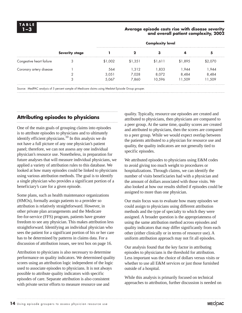## **1–3 Average episode costs rise with disease severity and overall patient complexity, 2002**

|                          |                       | <b>Complexity level</b> |         |         |         |         |  |  |
|--------------------------|-----------------------|-------------------------|---------|---------|---------|---------|--|--|
|                          | <b>Severity stage</b> |                         |         |         |         | 5       |  |  |
| Congestive heart failure |                       | \$1.002                 | \$1.351 | \$1.611 | \$1,895 | \$2.070 |  |  |
| Coronary artery disease  |                       | 564                     | 1.312   | 1.833   | 1.944   | 944, ا  |  |  |
|                          |                       | 3.051                   | 7.028   | 8.072   | 8.484   | 8,484   |  |  |
|                          | 3                     | 5,067                   | 7.860   | 10.596  | 11.509  | 11,509  |  |  |

Source: MedPAC analysis of 5 percent sample of Medicare claims using Medstat Episode Group grouper.

# **Attributing episodes to physicians**

One of the main goals of grouping claims into episodes is to attribute episodes to physicians and to ultimately identify efficient physicians.<sup>10</sup> In this analysis we do not have a full picture of any one physician's patient panel; therefore, we can not assess any one individual physician's resource use. Nonetheless, in preparation for future analyses that will measure individual physicians, we applied a variety of attribution rules to this database. We looked at how many episodes could be linked to physicians using various attribution methods. The goal is to identify a single physician who provides a significant portion of a beneficiary's care for a given episode.

Some plans, such as health maintenance organizations (HMOs), formally assign patients to a provider so attribution is relatively straightforward. However, in other private plan arrangements and the Medicare fee-for-service (FFS) program, patients have greater freedom to see any physician. This makes attribution less straightforward. Identifying an individual physician who sees the patient for a significant portion of his or her care has to be determined by patterns in claims data. For a discussion of attribution issues, see text box on page 16.

Attribution to physicians is also necessary to determine performance on quality indicators. We determined quality scores using an attribution logic independent of the logic used to associate episodes to physicians. It is not always possible to attribute quality indicators with specific episodes of care. Separate attribution is also consistent with private sector efforts to measure resource use and

quality. Typically, resource use episodes are created and attributed to physicians, then physicians are compared to a peer group. At the same time, quality scores are created and attributed to physicians, then the scores are compared to a peer group. While we would expect overlap between the patients attributed to a physician for resource use and quality, the quality indicators are not generally tied to specific episodes.

We attributed episodes to physicians using E&M codes to avoid giving too much weight to procedures or hospitalizations. Through claims, we can identify the number of visits beneficiaries had with a physician and the amount of dollars associated with those visits. We also looked at how our results shifted if episodes could be assigned to more than one physician.

Our main focus was to evaluate how many episodes we could assign to physicians using different attribution methods and the type of specialty to which they were assigned. A broader question is the appropriateness of using the same attribution method across episodes and quality indicators that may differ significantly from each other (either clinically or in terms of resource use). A uniform attribution approach may not fit all episodes.

Our analysis found that the key factor in attributing episodes to physicians is the threshold for attribution. Less important was the choice of dollars versus visits or whether to use all E&M services or just those furnished outside of a hospital.

While this analysis is primarily focused on technical approaches to attribution, further discussion is needed on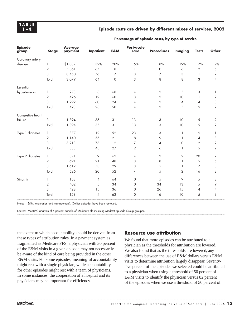## **1–4 Episode costs are driven by different mixes of services, 2002**

| <b>Episode</b><br>group | <b>Stage</b>   | <b>Average</b><br>payment | <b>Inpatient</b> | E&M            | <b>Post-acute</b><br>care | <b>Procedures</b> | <b>Imaging</b> | <b>Tests</b>   | <b>Other</b>   |  |
|-------------------------|----------------|---------------------------|------------------|----------------|---------------------------|-------------------|----------------|----------------|----------------|--|
| Coronary artery         |                |                           |                  |                |                           |                   |                |                |                |  |
| disease                 | 1              | \$1,037                   | 32%              | 20%            | $5%$                      | 8%                | 19%            | 7%             | 9%             |  |
|                         | $\overline{2}$ | 5,361                     | 67               | 8              | 1                         | 10                | 6              | $\overline{2}$ | 5              |  |
|                         | 3              | 8,450                     | 76               | $\overline{7}$ | 3                         | $\overline{7}$    | 3              |                | 2              |  |
|                         | Total          | 3,079                     | 64               | 10             | 3                         | 8                 | 8              | 3              | 4              |  |
| Essential               |                |                           |                  |                |                           |                   |                |                |                |  |
| hypertension            | 1              | 273                       | 8                | 68             | $\overline{4}$            | $\sqrt{2}$        | 5              | 13             | 1              |  |
|                         | $\sqrt{2}$     | 426                       | 12               | 60             | 3                         | $\overline{2}$    | 10             | 11             | 2              |  |
|                         | 3              | 1,292                     | 60               | 24             | 4                         | $\sqrt{2}$        | 4              | 4              | 3              |  |
|                         | Total          | 423                       | 28               | 50             | 4                         | $\overline{2}$    | 5              | 9              | $\sqrt{2}$     |  |
| Congestive heart        |                |                           |                  |                |                           |                   |                |                |                |  |
| failure                 | 3              | 1,394                     | 35               | 31             | 13                        | 3                 | 10             | $\sqrt{5}$     | $\sqrt{2}$     |  |
|                         | Total          | 1,394                     | 35               | 31             | 13                        | 3                 | 10             | 5              | $\overline{2}$ |  |
| Type 1 diabetes         | 1              | 377                       | 12               | 52             | 23                        | 3                 | 1              | 9              | 1              |  |
|                         | $\overline{2}$ | 1,140                     | 55               | 21             | 8                         | 9                 | 1              | 4              | 3              |  |
|                         | 3              | 3,213                     | 73               | 12             | $\overline{7}$            | 4                 | 0              | $\mathbf{2}$   | $\sqrt{2}$     |  |
|                         | Total          | 833                       | 48               | 27             | 12                        | 6                 | 1              | 5              | $\overline{2}$ |  |
| Type 2 diabetes         | $\mathbf{1}$   | 371                       | 9                | 62             | 4                         | $\overline{2}$    | 2              | 20             | $\sqrt{2}$     |  |
|                         | 2              | 691                       | 21               | 48             | 3                         | 8                 | $\mathbf{1}$   | 15             | 5              |  |
|                         | 3              | 1,612                     | 53               | 29             | 3                         | 5                 | 1              | $\overline{7}$ | 3              |  |
|                         | Total          | 526                       | 20               | 52             | 4                         | 5                 | 2              | 16             | 3              |  |
| Sinusitis               | 1              | 153                       | 4                | 64             | $\circ$                   | 15                | 9              | $\sqrt{5}$     | 3              |  |
|                         | $\overline{2}$ | 402                       | 5                | 34             | 0                         | 34                | 13             | 5              | 9              |  |
|                         | 3              | 428                       | 15               | 36             | 0                         | 26                | 15             | 4              | 4              |  |
|                         | Total          | 158                       | 4                | 62             | $\mathbf 0$               | 16                | 10             | 5              | 3              |  |

#### **Percentage of episode costs, by type of service**

Note: E&M (evaluation and management). Outlier episodes have been removed.

Source: MedPAC analysis of 5 percent sample of Medicare claims using Medstat Episode Group grouper.

the extent to which accountability should be derived from these types of attribution rules. In a payment system as fragmented as Medicare FFS, a physician with 30 percent of the E&M visits in a given episode may not necessarily be aware of the kind of care being provided in the other E&M visits. For some episodes, meaningful accountability might rest with a single physician, while accountability for other episodes might rest with a team of physicians. In some instances, the cooperation of a hospital and its physicians may be important for efficiency.

### **Resource use attribution**

We found that more episodes can be attributed to a physician as the thresholds for attribution are lowered. We also found that as the thresholds are lowered, any differences between the use of E&M dollars versus E&M visits to determine attribution largely disappear. Seventyfive percent of the episodes we selected could be attributed to a physician when using a threshold of 50 percent of E&M visits to identify the physician versus 82 percent of the episodes when we use a threshold of 50 percent of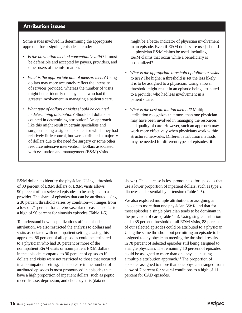# **Attribution issues**

Some issues involved in determining the appropriate approach for assigning episodes include:

- *Is the attribution method conceptually valid?* It must be defensible and accepted by payers, providers, and other users of the information.
- *What is the appropriate unit of measurement?* Using dollars may more accurately reflect the intensity of services provided, whereas the number of visits might better identify the physician who had the greatest involvement in managing a patient's care.
- *What type of dollars or visits should be counted in determining attribution?* Should all dollars be counted in determining attribution? An approach like this might result in certain specialists and surgeons being assigned episodes for which they had relatively little control, but were attributed a majority of dollars due to the need for surgery or some other resource intensive intervention. Dollars associated with evaluation and management (E&M) visits

might be a better indicator of physician involvement in an episode. Even if E&M dollars are used, should all physician E&M claims be used, including E&M claims that occur while a beneficiary is hospitalized?

- *What is the appropriate threshold of dollars or visits to use?* The higher a threshold is set the less likely it is to be assigned to a physician. Using a lower threshold might result in an episode being attributed to a provider who had less involvement in a patient's care.
- *What is the best attribution method?* Multiple attribution recognizes that more than one physician may have been involved in managing the resources and quality of care. However, such an approach may work more effectively when physicians work within structured networks. Different attribution methods may be needed for different types of episodes.  $\blacksquare$

E&M dollars to identify the physician. Using a threshold of 30 percent of E&M dollars or E&M visits allows 90 percent of our selected episodes to be assigned to a provider. The share of episodes that can be attributed using a 30 percent threshold varies by condition—it ranges from a low of 71 percent for cerebrovascular disease episodes to a high of 96 percent for sinusitis episodes (Table 1-5).

To understand how hospitalizations affect episode attribution, we also restricted the analysis to dollars and visits associated with noninpatient settings. Using this approach, 86 percent of all episodes could be attributed to a physician who had 30 percent or more of the noninpatient E&M visits or noninpatient E&M dollars in the episode, compared to 90 percent of episodes if dollars and visits were not restricted to those that occurred in a noninpatient setting. The decrease in the number of attributed episodes is most pronounced in episodes that have a high proportion of inpatient dollars, such as peptic ulcer disease, depression, and choleocystitis (data not

shown). The decrease is less pronounced for episodes that use a lower proportion of inpatient dollars, such as type 2 diabetes and essential hypertension (Table 1-5).

We also explored multiple attribution, or assigning an episode to more than one physician. We found that for most episodes a single physician tends to be dominant in the provision of care (Table 1-5). Using single attribution and a 35 percent threshold of all E&M visits, 88 percent of our selected episodes could be attributed to a physician. Using the same threshold but permitting an episode to be assigned to any physician meeting the threshold results in 78 percent of selected episodes still being assigned to a single physician. The remaining 10 percent of episodes could be assigned to more than one physician using a multiple attribution approach.<sup>11</sup> The proportion of episodes assigned to more than one physician ranged from a low of 7 percent for several conditions to a high of 11 percent for CAD episodes.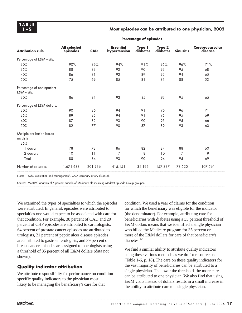## **1–5 Most episodes can be attributed to one physician, 2002**

| <b>Attribution rule</b>                   | <b>All selected</b><br>episodes | <b>CAD</b> | <b>Essential</b><br>hypertension | Type 1<br>diabetes | Type 2<br>diabetes | <b>Sinusitis</b> | Cerebrovascular<br>disease |
|-------------------------------------------|---------------------------------|------------|----------------------------------|--------------------|--------------------|------------------|----------------------------|
| Percentage of E&M visits:                 |                                 |            |                                  |                    |                    |                  |                            |
| 30%                                       | 90%                             | 86%        | 94%                              | 91%                | 95%                | 96%              | 71%                        |
| 35%                                       | 88                              | 83         | 93                               | 90                 | 93                 | 95               | 68                         |
| 40%                                       | 86                              | 81         | 92                               | 89                 | 92                 | 94               | 65                         |
| 50%                                       | 75                              | 69         | 85                               | 81                 | 81                 | 88               | 53                         |
| Percentage of noninpatient<br>E&M visits: |                                 |            |                                  |                    |                    |                  |                            |
| 30%                                       | 86                              | 81         | 92                               | 85                 | 93                 | 95               | 65                         |
| Percentage of E&M dollars:                |                                 |            |                                  |                    |                    |                  |                            |
| 30%                                       | 90                              | 86         | 94                               | 91                 | 96                 | 96               | 71                         |
| 35%                                       | 89                              | 85         | 94                               | 91                 | 95                 | 95               | 69                         |
| 40%                                       | 87                              | 82         | 93                               | 90                 | 93                 | 95               | 66                         |
| 50%                                       | 82                              | 77         | 90                               | 87                 | 89                 | 93               | 60                         |
| Multiple attribution based                |                                 |            |                                  |                    |                    |                  |                            |
| on visits:<br>35%                         |                                 |            |                                  |                    |                    |                  |                            |
| 1 doctor                                  | 78                              | 73         | 86                               | 82                 | 84                 | 88               | 60                         |
| 2 doctors                                 | 10                              | 11         | $\overline{7}$                   | 8                  | 10                 | 7                | 9                          |
| Total                                     | 88                              | 84         | 93                               | 90                 | 94                 | 95               | 69                         |
| Number of episodes                        | 1,671,638                       | 201,936    | 415,151                          | 34,196             | 157,337            | 78,520           | 107,561                    |

#### **Percentage of episodes**

Note: E&M (evaluation and management), CAD (coronary artery disease).

Source: MedPAC analysis of 5 percent sample of Medicare claims using Medstat Episode Group grouper.

We examined the types of specialties to which the episodes were attributed. In general, episodes were attributed to specialties one would expect to be associated with care for that condition. For example, 38 percent of CAD and 20 percent of CHF episodes are attributed to cardiologists, 64 percent of prostate cancer episodes are attributed to urologists, 21 percent of peptic ulcer disease episodes are attributed to gastroenterologists, and 39 percent of breast cancer episodes are assigned to oncologists using a threshold of 35 percent of all E&M dollars (data not shown).

# **Quality indicator attribution**

We attribute responsibility for performance on conditionspecific quality indicators to the physician most likely to be managing the beneficiary's care for that

condition. We used a year of claims for the condition for which the beneficiary was eligible for the indicator (the denominator). For example, attributing care for beneficiaries with diabetes using a 35 percent threshold of E&M dollars means that we identified a single physician who billed the Medicare program for 35 percent or more of the E&M dollars for care of that beneficiary's diabetes.<sup>12</sup>

We find a similar ability to attribute quality indicators using these various methods as we do for resource use (Table 1-6, p. 18). The care on these quality indicators for the vast majority of beneficiaries can be attributed to a single physician. The lower the threshold, the more care can be attributed to one physician. We also find that using E&M visits instead of dollars results in a small increase in the ability to attribute care to a single physician.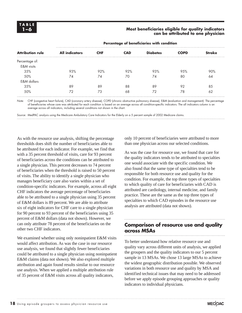### **1–6 Most beneficiaries eligible for quality indicators can be attributed to one physician**

| <b>All indicators</b> | <b>CHF</b> | <b>CAD</b> | <b>Diabetes</b> | <b>COPD</b> | <b>Stroke</b> |
|-----------------------|------------|------------|-----------------|-------------|---------------|
|                       |            |            |                 |             |               |
|                       |            |            |                 |             |               |
|                       |            |            |                 |             |               |
| 93%                   | 92%        | 92%        | 93%             | 95%         | 90%           |
| 74                    | 74         | 70         | 74              | 80          | 64            |
|                       |            |            |                 |             |               |
| 89                    | 89         | 88         | 89              | 92          | 85            |
| 72                    | 73         | 68         | 72              | 78          | 62            |
|                       |            |            |                 |             |               |

**Percentage of beneficiaries with condition** 

Note: CHF (congestive heart failure), CAD (coronary artery disease), COPD (chronic obstructive pulmonary disease), E&M (evaluation and management). The percentage of beneficiaries whose care was attributed for each condition is based on an average across all condition-specific indicators. The all indicators column is an average across all indicators, including several conditions not shown in the chart.

Source: MedPAC analysis using the Medicare Ambulatory Care Indicators for the Elderly on a 5 percent sample of 2002 Medicare claims.

As with the resource use analysis, shifting the percentage thresholds does shift the number of beneficiaries able to be attributed for each indicator. For example, we find that with a 35 percent threshold of visits, care for 93 percent of beneficiaries across the conditions can be attributed to a single physician. This percent decreases to 74 percent of beneficiaries when the threshold is raised to 50 percent of visits. The ability to identify a single physician who manages beneficiary care also varies within a set of condition-specific indicators. For example, across all eight CHF indicators the average percentage of beneficiaries able to be attributed to a single physician using 35 percent of E&M dollars is 89 percent. We are able to attribute six of eight indicators for CHF care to a single physician for 90 percent to 93 percent of the beneficiaries using 35 percent of E&M dollars (data not shown). However, we can only attribute 78 percent of the beneficiaries on the other two CHF indicators.

We examined whether using only noninpatient E&M visits would affect attribution. As was the case in our resource use analysis, we found that slightly fewer beneficiaries could be attributed to a single physician using noninpatient E&M claims (data not shown). We also explored multiple attribution and again found results similar to our resource use analysis. When we applied a multiple attribution rule of 35 percent of E&M visits across all quality indicators,

only 10 percent of beneficiaries were attributed to more than one physician across our selected conditions.

As was the case for resource use, we found that care for the quality indicators tends to be attributed to specialties one would associate with the specific condition. We also found that the same type of specialties tend to be responsible for both resource use and quality for the condition. For example, the top three types of specialties to which quality of care for beneficiaries with CAD is attributed are cardiology, internal medicine, and family practice. These are the same as the top three types of specialties to which CAD episodes in the resource use analysis are attributed (data not shown).

# **Comparison of resource use and quality across MSAs**

To better understand how relative resource use and quality vary across different units of analysis, we applied the groupers and the quality indicators to our 5 percent sample in 13 MSAs. We chose 13 large MSAs to achieve the widest geographic distribution possible. We observed variations in both resource use and quality by MSA and identified technical issues that may need to be addressed before we apply episode grouping approaches or quality indicators to individual physicians.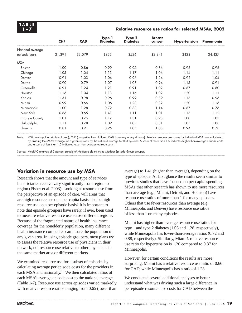**TABLE**

## **1–7 Relative resource use ratios for selected MSAs, 2002**

|                  | <b>CHF</b> | <b>CAD</b> | Type 1<br><b>Diabetes</b> | Type 2<br><b>Diabetes</b> | <b>Breast</b><br>cancer | <b>Hypertension</b> | Pneumonia |
|------------------|------------|------------|---------------------------|---------------------------|-------------------------|---------------------|-----------|
| National average |            |            |                           |                           |                         |                     |           |
| episode costs    | \$1,394    | \$3,079    | \$833                     | \$526                     | \$2,341                 | \$423               | \$4,427   |
| <b>MSA</b>       |            |            |                           |                           |                         |                     |           |
| <b>Boston</b>    | 1.00       | 0.86       | 0.99                      | 0.95                      | 0.86                    | 0.96                | 0.96      |
| Chicago          | 1.05       | 1.04       | 1.13                      | 1.17                      | 1.06                    | 1.14                | 1.11      |
| Denver           | 0.91       | 1.03       | 1.04                      | 0.96                      | 1.24                    | 0.92                | 1.04      |
| Detroit          | 0.90       | 0.79       | 1.07                      | 1.08                      | 0.94                    | 1.15                | 0.91      |
| Greenville       | 0.91       | 1.24       | 1.21                      | 0.91                      | 1.02                    | 0.87                | 0.80      |
| Houston          | 1.16       | 1.04       | 1.13                      | 1.16                      | 1.02                    | 1.20                | 1.11      |
| Kansas           | 1.31       | 0.98       | 0.96                      | 0.99                      | 0.79                    | 1.13                | 0.96      |
| Miami            | 0.99       | 0.66       | 1.06                      | 1.28                      | 0.82                    | 1.20                | 1.16      |
| Minneapolis      | 1.00       | 1.28       | 0.72                      | 0.88                      | 1.14                    | 0.87                | 0.76      |
| New York         | 0.86       | 0.65       | 1.41                      | 1.11                      | 1.01                    | 1.13                | 1.12      |
| Orange County    | 1.01       | 0.76       | 1.17                      | 1.31                      | 0.98                    | 1.00                | 1.03      |
| Philadelphia     | 1.11       | 0.78       | 1.09                      | 1.07                      | 0.81                    | 1.05                | 1.08      |
| Phoenix          | 0.81       | 0.91       | 0.95                      | 1.05                      | 1.08                    | 0.94                | 0.78      |

Note: MSA (metropolitan statistical area), CHF (congestive heart failure), CAD (coronary artery disease). Relative resource use scores for individual MSAs are calculated by dividing the MSA's average for a given episode by the national average for that episode. A score of more than 1.0 indicates higher-than-average episode costs and a score of less than 1.0 indicates lower-than-average episode costs.

Source: MedPAC analysis of 5 percent sample of Medicare claims using Medstat Episode Group grouper.

# **Variation in resource use by MSA**

Research shows that the amount and type of services beneficiaries receive vary significantly from region to region (Fisher et al. 2003). Looking at resource use from the perspective of an episode of care, will areas that are high resource use on a per capita basis also be high resource use on a per episode basis? It is important to note that episode groupers have rarely, if ever, been used to measure relative resource use across different regions. Because of the fragmented nature of health insurance coverage for the nonelderly population, many different health insurance companies can insure the population of any given area. In using episode groupers, most plans try to assess the relative resource use of physicians in their network, not resource use relative to other physicians in the same market area or different markets.

We examined resource use for a subset of episodes by calculating average per episode costs for the providers in each MSA and nationally.13 We then calculated ratios of each MSA's average episode cost to the national average (Table 1-7). Resource use across episodes varied markedly with relative resource ratios ranging from 0.65 (lower than

average) to 1.41 (higher than average), depending on the type of episode. At first glance the results seem similar to previous studies that have focused on per capita spending. MSAs that other research has shown to use more resources than average (e.g., Miami, Detroit, and Houston) have resource use ratios of more than 1 for many episodes. Others that use fewer resources than average (e.g., Minneapolis and Denver) have resource use ratios of less than 1 on many episodes.

Miami has higher-than-average resource use ratios for type 1 and type 2 diabetes (1.06 and 1.28, respectively), while Minneapolis has lower-than-average ratios (0.72 and 0.88, respectively). Similarly, Miami's relative resource use ratio for hypertension is 1.20 compared to 0.87 for Minneapolis.

However, for certain conditions the results are more surprising. Miami has a relative resource use ratio of  $0.66$ for CAD, while Minneapolis has a ratio of 1.28.

We conducted several additional analyses to better understand what was driving such a large difference in per episode resource use costs for CAD between the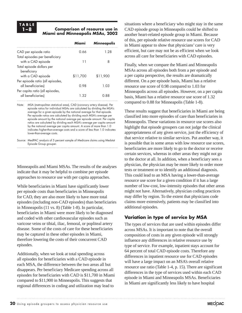# **TABLE**

## **1–8 Comparison of resource use in Miami and Minneapolis MSAs, 2002**

|                                  | Miami    | <b>Minneapolis</b> |
|----------------------------------|----------|--------------------|
| CAD per episode ratio            | በ 66     | 1.28               |
| Total episodes per beneficiary   |          |                    |
| with a CAD episode               |          | 8                  |
| Total episode dollars per        |          |                    |
| beneficiary                      |          |                    |
| with a CAD episode               | \$11,700 | \$11,900           |
| Per episode ratio (all episodes, |          |                    |
| all beneficiaries)               | 0.98     | 1.03               |
| Per capita ratio (all episodes,  |          |                    |
| all beneficiaries)               | 1.32     | 0.88               |
|                                  |          |                    |

Note: MSA (metropolitan statistical area), CAD (coronary artery disease). Per episode ratios for individual MSAs are calculated by dividing the MSA's average for a given episode by the national average for that episode. Per episode ratios are calculated by dividing each MSA's average per episode amount by the national average per episode amount. Per capita ratios are calculated by dividing each MSA's average per capita amount by the national average per capita amount. A score of more than 1.0 indicates higher-than-average costs and a score of less than 1.0 indicates lower-than-average costs.

Source: MedPAC analysis of 5 percent sample of Medicare claims using Medstat Episode Group grouper.

Minneapolis and Miami MSAs. The results of the analyses indicate that it may be helpful to combine per episode approaches to resource use with per capita approaches.

While beneficiaries in Miami have significantly lower per episode costs than beneficiaries in Minneapolis for CAD, they are also more likely to have more total episodes (including non-CAD episodes) than beneficiaries in Minneapolis (11 vs. 8) (Table 1-8). In particular, beneficiaries in Miami were more likely to be diagnosed and coded with other cardiovascular episodes such as varicose veins or tibial, iliac, femoral, or popliteal artery disease. Some of the costs of care for these beneficiaries may be captured in these other episodes in Miami, therefore lowering the costs of their concurrent CAD episodes.

Additionally, when we look at total spending across all episodes for beneficiaries with a CAD episode in each MSA, the difference between the two areas all but disappears. Per beneficiary Medicare spending across all episodes for beneficiaries with CAD is \$11,700 in Miami compared to \$11,900 in Minneapolis. This suggests that regional differences in coding and utilization may lead to

situations where a beneficiary who might stay in the same CAD episode group in Minneapolis could be shifted to another heart-related episode group in Miami. Because of this, per episode relative resource use scores for CAD in Miami appear to show that physicians' care is very efficient, but care may not be as efficient when we look across all care for beneficiaries with CAD episodes.

Finally, when we compare the Miami and Minneapolis MSAs across all episodes both from a per episode and a per capita perspective, the results are dramatically different. On a per episode basis, Miami has a relative resource use score of 0.98 compared to 1.03 for Minneapolis across all episodes. However, on a per capita basis, Miami has a relative resource use score of 1.32 compared to 0.88 for Minneapolis (Table 1-8).

These results suggest that beneficiaries in Miami are being classified into more episodes of care than beneficiaries in Minneapolis. These variations in resource use scores also highlight that episode groupers can not judge the clinical appropriateness of any given service, just the efficiency of that service relative to similar services. Put another way, it is possible that in some areas with low resource use scores, beneficiaries are more likely to go to the doctor or receive certain services, whereas in other areas they might not go to the doctor at all. In addition, when a beneficiary sees a physician, the physician may be more likely to order more tests or treatment or to identify an additional diagnosis. This could lead to an MSA having a lower-than-average resource use score for a given condition if it has a large number of low-cost, low-intensity episodes that other areas might not have. Alternatively, physician coding practices may differ by region. To the extent that physicians code claims more extensively, patients may be classified into additional episodes.

# **Variation in type of service by MSA**

The types of services that are used within episodes differ across MSAs. It is important to note that the overall composition of costs in any given episode will strongly influence any differences in relative resource use by type of service. For example, inpatient stays account for 64 percent of total CAD episode costs. Therefore any differences in inpatient resource use for CAD episodes will have a large impact on an MSA's overall relative resource use ratio (Table 1-4, p. 15). There are significant differences in the type of services used within each CAD episode in Miami and Minneapolis MSAs. Beneficiaries in Miami are significantly less likely to have hospital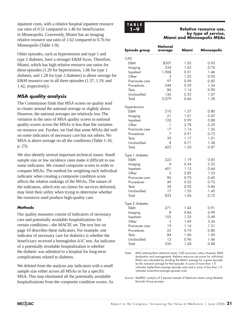inpatient costs, with a relative hospital inpatient resource use ratio of 0.51 compared to 1.46 for beneficiaries in Minneapolis. Conversely, Miami has an imaging relative resource use ratio of 1.62 compared to 0.76 for Minneapolis (Table 1-9).

Other episodes, such as hypertension and type 1 and type 2 diabetes, have a stronger E&M focus. Therefore, Miami, which has high relative resource use ratios for these episodes (1.20 for hypertension, 1.06 for type 1 diabetes, and 1.28 for type 2 diabetes) is above average for E&M resource use in all three episodes (1.37, 1.19, and 1.42, respectively).

# **MSA quality analysis**

The Commission finds that MSA scores on quality tend to cluster around the national average or slightly above. However, the national averages are relatively low. The variation in the ratio of MSA quality scores to national quality scores across the MSAs is less than the variation on resource use. Further, we find that some MSAs did well on some indicators of necessary care but not others. No MSA is above average on all the conditions (Table 1-10, p. 23).

We also identify several important technical issues. Small sample size or low incidence rates make it difficult to use some indicators. We created composite scores in order to compare MSAs. The method for weighting each individual indicator when creating a composite condition score affects the relative rankings of the MSAs. The nature of the indicators, which rely on claims for services delivered, may limit their utility when trying to determine whether the resources used produce high-quality care.

## **Methods**

Our quality measures consist of indicators of necessary care and potentially avoidable hospitalizations for certain conditions—the MACIE set. The text box on page 10 describes these indicators. For example, one indicator of necessary care for diabetics is whether the beneficiary received a hemoglobin A1C test. An indicator of a potentially avoidable hospitalization is whether the diabetic was admitted to a hospital for long-term complications related to diabetes.

We deleted from the analysis any indicators with a small sample size either across all MSAs or for a specific MSA. This step eliminated all the potentially avoidable hospitalizations from the composite condition scores. As



#### **1–9 Relative resource use, by type of service, Miami and Minneapolis MSAs**

| Episode group                 | National<br>average | Miami        | Minneapolis  |
|-------------------------------|---------------------|--------------|--------------|
| CAD                           |                     |              |              |
| E&M                           | \$307               | 1.05         | 0.93         |
| Imaging                       | 234                 | 1.62         | 0.76         |
| Inpatient                     | 1,968               | 0.51         | 1.46         |
| Other                         | 3                   | 1.25         | 0.92         |
| Post-acute care               | 97                  | 0.99         | 0.82         |
| Procedures                    | 248                 | 0.39         | 1.24         |
| Tests                         | 86                  | 1.14         | 0.90         |
| Unclassified                  | 136                 | 0.33         | 1.07         |
| Total                         | 3,079               | 0.66         | 1.28         |
| Hypertension                  |                     |              |              |
| E&M                           | 210                 | 1.37         | 0.80         |
| Imaging                       | 21                  | 1.01         | 0.47         |
| Inpatient                     | 120                 | 0.99         | 0.88         |
| Other                         | 1                   | 2.78         | 0.29         |
| Post-acute care               | 17                  | 1.14         | 1.56         |
| Procedures                    | 7                   | 0.91         | 0.73         |
| Tests                         | 39                  | 1.17         | 1.01         |
| Unclassified                  | 8                   | 0.71         | 1.38         |
| Total                         | 423                 | 1.20         | 0.87         |
| Type 1 diabetes               |                     |              |              |
| E&M                           | 223                 | 1.19         | 0.85         |
| Imaging                       | 6                   | 0.54         | 2.25         |
| Inpatient                     | 401                 | 1.13         | 0.64         |
| Other                         | 2                   | 2.85         | 1.23         |
| Post-acute care               | 96                  | 0.70         | 0.45         |
| Procedures<br>Tests           | 49<br>38            | 0.52<br>0.92 | 0.72<br>0.86 |
| Unclassified                  | 17                  | 1.55         | 1.45         |
| Total                         | 833                 | 1.06         | 0.72         |
|                               |                     |              |              |
| Type 2 diabetes               |                     |              |              |
| E&M                           | 271                 | 1.42         | 0.91         |
| Imaging                       | 8                   | 0.84         | 0.99         |
| Inpatient                     | 105                 | 1.33         | 0.49         |
| Other                         | 3                   | 1.69         | 3.36         |
| Post-acute care<br>Procedures | 19<br>25            | 1.16         | 1.31         |
| Tests                         | 84                  | 0.74<br>1.06 | 0.80<br>1.00 |
| Unclassified                  | 12                  | 0.96         | 1.46         |
| Total                         | 526                 | 1.28         | 0.88         |
|                               |                     |              |              |

Note: MSA (metropolitan statistical area), CAD (coronary artery disease), E&M (evaluation and management). Relative resource use scores for individual MSAs are calculated by dividing the MSA's average for a given episode by the national average for that episode. A score of more than 1.0 indicates higher-than-average episode costs and a score of less than 1.0 indicates lower-than-average episode costs.

Source: MedPAC analysis of 5 percent sample of Medicare claims using Medstat Episode Group grouper.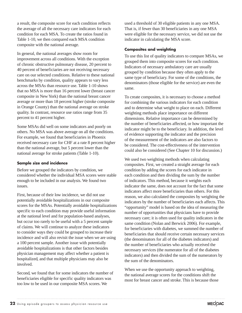a result, the composite score for each condition reflects the average of all the necessary care indicators for each condition for each MSA. To create the ratios found in Table 1-10, we then compared each MSA condition composite with the national average.

In general, the national averages show room for improvement across all conditions. With the exception of chronic obstructive pulmonary disease, 20 percent to 40 percent of beneficiaries are not receiving necessary care on our selected conditions. Relative to these national benchmarks by condition, quality appears to vary less across the MSAs than resource use. Table 1-10 shows that no MSA is more than 16 percent lower (breast cancer composite in New York) than the national breast cancer average or more than 18 percent higher (stroke composite in Orange County) than the national average on stroke quality. In contrast, resource use ratios range from 35 percent to 41 percent higher.

Some MSAs did well on some indicators and poorly on others. No MSA was above average on all the conditions. For example, we found that beneficiaries in Phoenix received necessary care for CHF at a rate 8 percent higher than the national average, but 5 percent lower than the national average for stroke patients (Table 1-10).

## **Sample size and incidence**

Before we grouped the indicators by condition, we considered whether the individual MSA scores were stable enough to be included in our analysis. We found two issues.

First, because of their low incidence, we did not use potentially avoidable hospitalizations in our composite scores for the MSAs. Potentially avoidable hospitalizations specific to each condition may provide useful information at the national level and for population-based analyses, but occur too rarely to be useful with a 5 percent sample of claims. We will continue to analyze these indicators to consider ways they could be grouped to increase their incidence and will also revisit the issue when we are using a 100 percent sample. Another issue with potentially avoidable hospitalizations is that other factors besides physician management may affect whether a patient is hospitalized, and that multiple physicians may also be involved.

Second, we found that for some indicators the number of beneficiaries eligible for specific quality indicators was too low to be used in our composite MSA scores. We

used a threshold of 30 eligible patients in any one MSA. That is, if fewer than 30 beneficiaries in any one MSA were eligible for the necessary service, we did not use the indicator in calculating the MSA score.

## **Composites and weighting**

To use this list of quality indicators to compare MSAs, we grouped them into composite scores for each condition. Indicators of necessary ambulatory care are usually grouped by condition because they often apply to the same type of beneficiary. For some of the conditions, the denominators (those eligible for the service) are even the same.

To create composites, it is necessary to choose a method for combining the various indicators for each condition and to determine what weight to place on each. Different weighting methods place importance on different dimensions. Relative importance can be determined by the number of beneficiaries affected, or how important the indicator might be to the beneficiary. In addition, the level of evidence supporting the indicator and the precision of the measurement of the indicators are also factors to be considered. The cost-effectiveness of the intervention could also be considered (See Chapter 10 for discussion.)

We used two weighting methods when calculating composites. First, we created a straight average for each condition by adding the scores for each indicator in each condition and then dividing the sum by the number of indicators. This method, because it weights each indicator the same, does not account for the fact that some indicators affect more beneficiaries than others. For this reason, we also calculated the composites by weighting the indicators by the number of beneficiaries each affects. This "opportunity" model is based on the idea of measuring the number of opportunities that physicians have to provide necessary care; it is often used for quality indicators in the same condition (Nolan and Berwick 2006). For example, for beneficiaries with diabetes, we summed the number of beneficiaries that should receive certain necessary services (the denominators for all of the diabetes indicators) and the number of beneficiaries who actually received the necessary services (the numerator for all of the diabetes indicators) and then divided the sum of the numerators by the sum of the denominators.

When we use the opportunity approach to weighting, the national average scores for the conditions shift the most for breast cancer and stroke. This is because those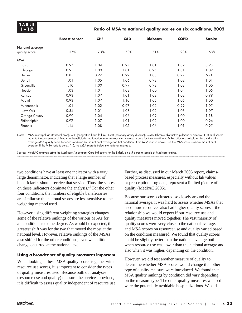## **1–10 Ratio of MSA to national quality scores on six conditions, 2002**

|                  | <b>Breast cancer</b> | <b>CHF</b> | <b>CAD</b> | <b>Diabetes</b> | <b>COPD</b> | <b>Stroke</b> |
|------------------|----------------------|------------|------------|-----------------|-------------|---------------|
| National average |                      |            |            |                 |             |               |
| quality score    | 57%                  | 73%        | 78%        | 71%             | 93%         | 68%           |
| <b>MSA</b>       |                      |            |            |                 |             |               |
| <b>Boston</b>    | 0.97                 | 1.04       | 0.97       | 1.01            | 1.02        | 0.93          |
| Chicago          | 0.95                 | 1.00       | 1.01       | 0.95            | 1.01        | 1.02          |
| Denver           | 0.85                 | 0.97       | 0.99       | 1.08            | 0.97        | N/A           |
| Detroit          | 1.01                 | 1.05       | 1.06       | 0.98            | 1.02        | 1.01          |
| Greenville       | 1.10                 | 1.00       | 0.99       | 0.98            | 1.03        | 1.06          |
| Houston          | 1.03                 | 1.01       | 1.03       | 1.00            | 1.04        | 1.05          |
| Kansas           | 0.93                 | 1.07       | 1.01       | 1.02            | 1.02        | 0.99          |
| Miami            | 0.93                 | 1.07       | 1.10       | 1.05            | 1.05        | 1.00          |
| Minneapolis      | 1.01                 | 1.02       | 0.97       | 1.02            | 0.99        | 1.05          |
| New York         | 0.84                 | 1.01       | 1.08       | 1.02            | 1.03        | 1.07          |
| Orange County    | 0.99                 | 1.04       | 1.06       | 1.09            | 1.00        | 1.18          |
| Philadelphia     | 0.97                 | 1.07       | 1.01       | 1.02            | 1.00        | 0.96          |
| Phoenix          | 1.14                 | 1.08       | 1.05       | 1.06            | 1.01        | 0.95          |

Note: MSA (metropolitan statistical area), CHF (congestive heart failure), CAD (coronary artery disease), COPD (chronic obstructive pulmonary disease). National scores indicate the percentage of Medicare beneficiaries nationwide who are receiving necessary care for their conditions. MSA ratios are calculated by dividing the average MSA quality score for each condition by the national average for that condition. If the MSA ratio is above 1.0, the MSA score is above the national average. If the MSA ratio is below 1.0, the MSA score is below the national average.

Source: MedPAC analysis using the Medicare Ambulatory Care Indicators for the Elderly on a 5 percent sample of Medicare claims.

two conditions have at least one indicator with a very large denominator, indicating that a large number of beneficiaries should receive that service. Thus, the scores on those indicators dominate the analysis.<sup>14</sup> For the other four conditions, the numbers of eligible beneficiaries are similar so the national scores are less sensitive to the weighting method used.

However, using different weighting strategies changes some of the relative rankings of the various MSAs for all conditions to some degree. As would be expected, the greatest shift was for the two that moved the most at the national level. However, relative rankings of the MSAs also shifted for the other conditions, even when little change occurred at the national level.

### **Using a broader set of quality measures important**

When looking at these MSA quality scores together with resource use scores, it is important to consider the types of quality measures used. Because both our analyses (resource use and quality) measure the services provided, it is difficult to assess quality independent of resource use.

Further, as discussed in our March 2005 report, claimsbased process measures, especially without lab values or prescription drug data, represent a limited picture of quality (MedPAC 2005).

Because our scores clustered so closely around the national average, it was hard to assess whether MSAs that used more resources also had higher quality scores—the relationship we would expect if our resource use and quality measures moved together. The vast majority of quality scores were very close to the national average, and MSA scores on resource use and quality varied based on the condition measured. We found that quality scores could be slightly better than the national average both when resource use was lower than the national average and also when it was higher, depending on the condition.

However, we did test another measure of quality to determine whether MSA scores would change if another type of quality measure were introduced. We found that MSA quality rankings by condition did vary depending on the measure type. The other quality measures we used were the potentially avoidable hospitalizations. We did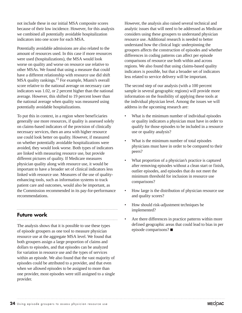not include these in our initial MSA composite scores because of their low incidence. However, for this analysis we combined all potentially avoidable hospitalization indicators into one score for each MSA.

Potentially avoidable admissions are also related to the amount of resources used. In this case if more resources were used (hospitalizations), the MSA would look worse on quality and worse on resource use relative to other MSAs. We found that using a measure that could have a different relationship with resource use did shift MSA quality rankings.<sup>15</sup> For example, Miami's overall score relative to the national average on necessary care indicators was 1.02, or 2 percent higher than the national average. However, this shifted to 19 percent lower than the national average when quality was measured using potentially avoidable hospitalizations.

To put this in context, in a region where beneficiaries generally use more resources, if quality is assessed solely on claims-based indicators of the provision of clinically necessary services, then an area with higher resource use could look better on quality. However, if measured on whether potentially avoidable hospitalizations were avoided, they would look worse. Both types of indicators are linked with measuring resource use, but provide different pictures of quality. If Medicare measures physician quality along with resource use, it would be important to have a broader set of clinical indicators less linked with resource use. Measures of the use of qualityenhancing tools, such as information systems to track patient care and outcomes, would also be important, as the Commission recommended in its pay-for-performance recommendations.

# **Future work**

The analysis shows that it is possible to use these types of episode groupers as one tool to measure physician resource use at the aggregate MSA level. We found that both groupers assign a large proportion of claims and dollars to episodes, and that episodes can be analyzed for variation in resource use and the types of services within an episode. We also found that the vast majority of episodes could be attributed to a provider, and that even when we allowed episodes to be assigned to more than one provider, most episodes were still assigned to a single provider.

However, the analysis also raised several technical and analytic issues that will need to be addressed as Medicare considers using these groupers to understand physician resource use. Additional research is needed to better understand how the clinical logic underpinning the groupers affects the construction of episodes and whether differences in coding patterns can affect per episode comparisons of resource use both within and across regions. We also found that using claims-based quality indicators is possible, but that a broader set of indicators less related to service delivery will be important.

The second step of our analysis (with a 100 percent sample in several geographic regions) will provide more information on the feasibility of applying these tools at the individual physician level. Among the issues we will address in the upcoming research are:

- What is the minimum number of individual episodes or quality indicators a physician must have in order to qualify for those episodes to be included in a resource use or quality analysis?
- What is the minimum number of total episodes physicians must have in order to be compared to their peers?
- What proportion of a physician's practice is captured after removing episodes without a clean start or finish, outlier episodes, and episodes that do not meet the minimum threshold for inclusion in resource use comparisons?
- How large is the distribution of physician resource use and quality scores?
- How should risk-adjustment techniques be implemented?
- Are there differences in practice patterns within more defined geographic areas that could lead to bias in per episode comparisons?  $\blacksquare$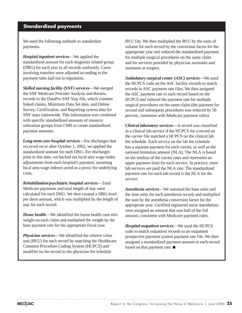# **Standardized payments**

We used the following methods to standardize payments.

*Hospital inpatient services*—We applied the standardized amount for each diagnosis related group (DRG) for each year to all records uniformly. Cases involving transfers were adjusted according to the payment rules laid out in regulation.

*Skilled nursing facility (SNF) services*—We merged the SNF Medicare Provider Analysis and Review records to the DataPro SNF Stay file, which contains linked claims, Minimum Data Set data, and Online Survey, Certification, and Reporting system data for SNF stays nationwide. This information was combined with specific standardized amounts of resource utilization groups from CMS to create standardized payment amounts.

*Long-term care hospital services*—For discharges that occurred on or after October 1, 2002, we applied the standardized amount for each DRG. For discharges prior to this date, we backed out local area wage-index adjustments from each hospital's payment, assuming local area wage indexes acted as a proxy for underlying costs.

*Rehabilitation/psychiatric hospital services*—Total Medicare payments and total length of stay were calculated for each DRG. We then created a DRG-level per diem amount, which was multiplied by the length of stay for each record.

*Home health*—We identified the home health case-mix weight on each claim and multiplied the weight by the base payment rate for the appropriate fiscal year.

*Physician services*—We identified the relative value unit (RVU) for each record by matching the Healthcare Common Procedure Coding System (HCPCS) and modifier on the record to the physician fee schedule

RVU file. We then multiplied the RVU by the units of volume for each record by the conversion factor for the appropriate year and reduced the standardized payment for multiple surgical procedures on the same claim and for services provided by physician assistants and assistants at surgery.

*Ambulatory surgical center (ASC) services*—We used the HCPCS code on the ASC facility records to match records to ASC payment rate files. We then assigned the ASC payment rate to each record based on the HCPCS and reduced the payment rate for multiple surgical procedures on the same claim (the payment for second and subsequent procedures was reduced by 50 percent, consistent with Medicare payment rules).

*Clinical laboratory services*—A record was classified as a clinical lab service if the HCPCS for a record on the carrier file matched a HCPCS on the clinical lab fee schedule. Each service on the lab fee schedule has a separate payment for each carrier, as well as the national limitation amount (NLA). The NLA is based on the median of the carrier rates and represents an upper payment limit for each service. In practice, most lab services are paid the NLA rate. The standardized payment rate for each lab record is the NLA for the service.

*Anesthesia services*—We summed the base units and the time units for each anesthesia record, and multiplied the sum by the anesthesia conversion factor for the appropriate year. Certified registered nurse anesthetists were assigned an amount that was half of the full amount, consistent with Medicare payment rules.

*Hospital outpatient services*—We used the HCPCS code to match outpatient records to an outpatient prospective payment system payment rate file. We then assigned a standardized payment amount to each record based on that payment rate.  $\blacksquare$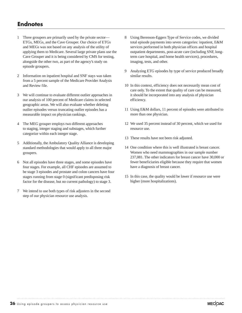# **Endnotes**

- 1 Three groupers are primarily used by the private sector— ETGs, MEGs, and the Cave Grouper. Our choice of ETGs and MEGs was not based on any analysis of the utility of applying them to Medicare. Several large private plans use the Cave Grouper and it is being considered by CMS for testing, alongside the other two, as part of the agency's study on episode groupers.
- 2 Information on inpatient hospital and SNF stays was taken from a 5 percent sample of the Medicare Provider Analysis and Review file.
- 3 We will continue to evaluate different outlier approaches in our analysis of 100 percent of Medicare claims in selected geographic areas. We will also evaluate whether deleting outlier episodes versus truncating outlier episodes has a measurable impact on physician rankings.
- 4 The MEG grouper employs two different approaches to staging, integer staging and substages, which further categorize within each integer stage.
- 5 Additionally, the Ambulatory Quality Alliance is developing standard methodologies that would apply to all three major groupers.
- 6 Not all episodes have three stages, and some episodes have four stages. For example, all CHF episodes are assumed to be stage 3 episodes and prostate and colon cancers have four stages running from stage 0 (significant predisposing risk factor for the disease, but no current pathology) to stage 3.
- 7 We intend to use both types of risk adjusters in the second step of our physician resource use analysis.
- 8 Using Berenson-Eggers Type of Service codes, we divided total episode payments into seven categories: inpatient, E&M services performed in both physician offices and hospital outpatient departments, post-acute care (including SNF, longterm care hospital, and home health services), procedures, imaging, tests, and other.
- 9 Analyzing ETG episodes by type of service produced broadly similar results.
- 10 In this context, efficiency does not necessarily mean cost of care only. To the extent that quality of care can be measured, it should be incorporated into any analysis of physician efficiency.
- 11 Using E&M dollars, 11 percent of episodes were attributed to more than one physician.
- 12 We used 35 percent instead of 30 percent, which we used for resource use.
- 13 These results have not been risk adjusted.
- 14 One condition where this is well illustrated is breast cancer. Women who need mammographies in our sample number 237,081. The other indicators for breast cancer have 30,000 or fewer beneficiaries eligible because they require that women have a diagnosis of breast cancer.
- 15 In this case, the quality would be lower if resource use were higher (more hospitalizations).